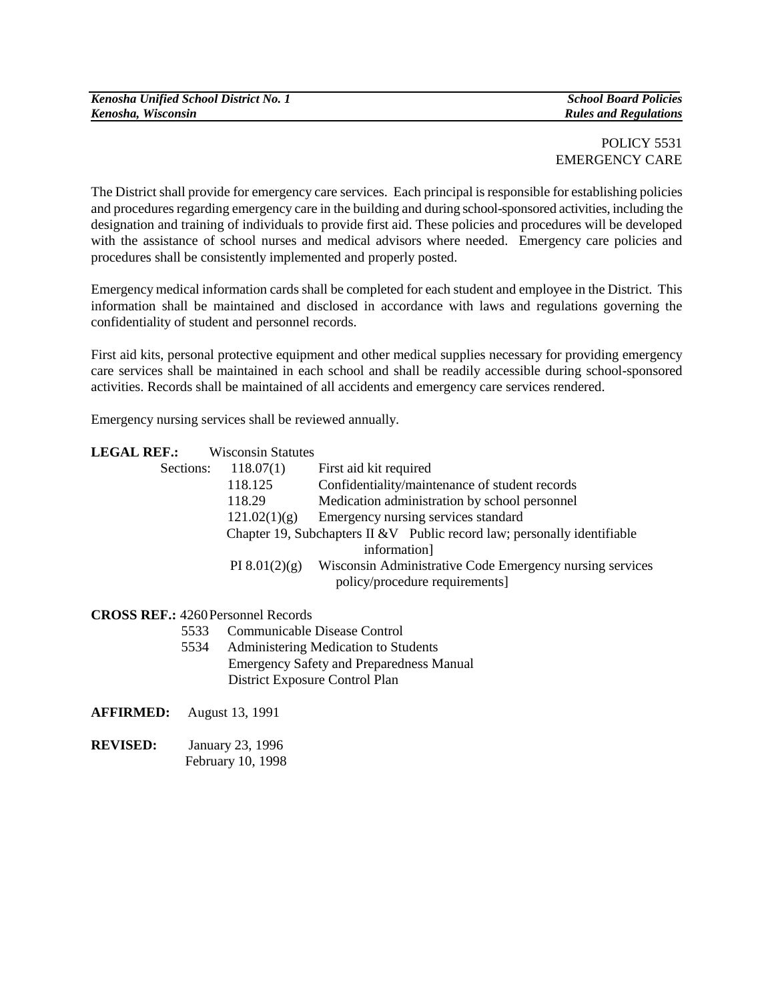## POLICY 5531 EMERGENCY CARE

The District shall provide for emergency care services. Each principal is responsible for establishing policies and procedures regarding emergency care in the building and during school-sponsored activities, including the designation and training of individuals to provide first aid. These policies and procedures will be developed with the assistance of school nurses and medical advisors where needed. Emergency care policies and procedures shall be consistently implemented and properly posted.

Emergency medical information cards shall be completed for each student and employee in the District. This information shall be maintained and disclosed in accordance with laws and regulations governing the confidentiality of student and personnel records.

First aid kits, personal protective equipment and other medical supplies necessary for providing emergency care services shall be maintained in each school and shall be readily accessible during school-sponsored activities. Records shall be maintained of all accidents and emergency care services rendered.

Emergency nursing services shall be reviewed annually.

|  | <b>LEGAL REF.:</b> | <b>Wisconsin Statutes</b> |
|--|--------------------|---------------------------|
|--|--------------------|---------------------------|

| Sections: | 118.07(1)                                                                 | First aid kit required                                   |
|-----------|---------------------------------------------------------------------------|----------------------------------------------------------|
|           | 118.125                                                                   | Confidentiality/maintenance of student records           |
|           | 118.29                                                                    | Medication administration by school personnel            |
|           | 121.02(1)(g)                                                              | Emergency nursing services standard                      |
|           | Chapter 19, Subchapters II & V Public record law; personally identifiable |                                                          |
|           |                                                                           | information]                                             |
|           | PI $8.01(2)(g)$                                                           | Wisconsin Administrative Code Emergency nursing services |
|           |                                                                           | policy/procedure requirements]                           |
|           |                                                                           |                                                          |

## **CROSS REF.:** 4260Personnel Records

- 5533 Communicable Disease Control
- 5534 Administering Medication to Students Emergency Safety and Preparedness Manual District Exposure Control Plan

#### **AFFIRMED:** August 13, 1991

**REVISED:** January 23, 1996 February 10, 1998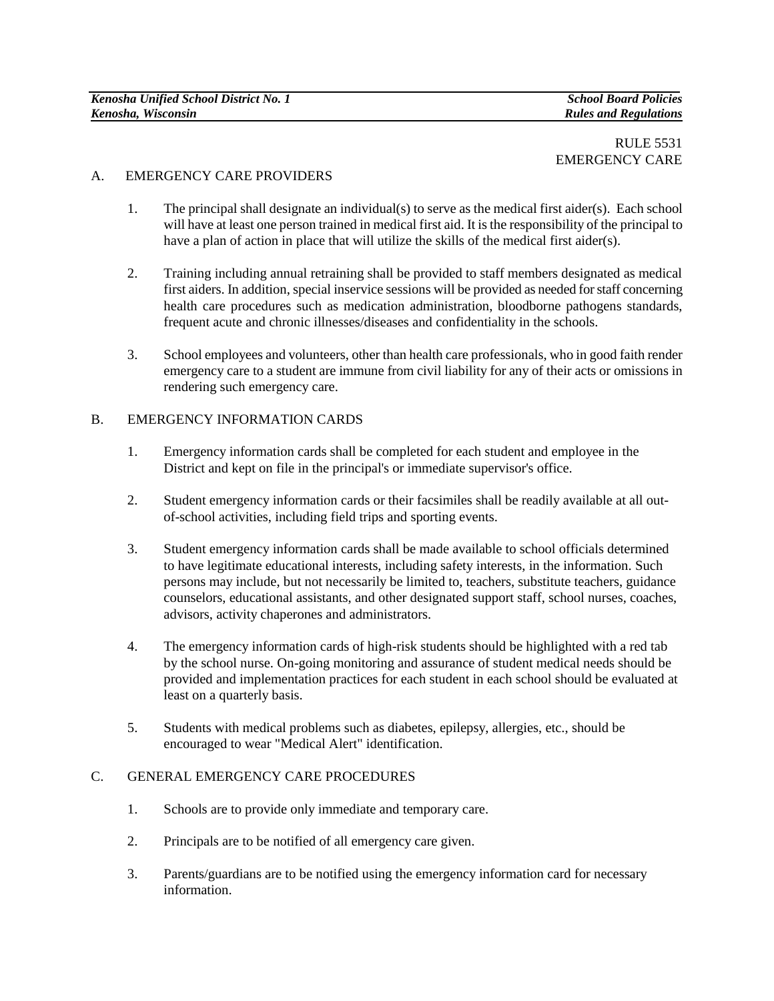## RULE 5531 EMERGENCY CARE

## A. EMERGENCY CARE PROVIDERS

- 1. The principal shall designate an individual(s) to serve as the medical first aider(s). Each school will have at least one person trained in medical first aid. It is the responsibility of the principal to have a plan of action in place that will utilize the skills of the medical first aider(s).
- 2. Training including annual retraining shall be provided to staff members designated as medical first aiders. In addition, special inservice sessions will be provided as needed for staff concerning health care procedures such as medication administration, bloodborne pathogens standards, frequent acute and chronic illnesses/diseases and confidentiality in the schools.
- 3. School employees and volunteers, other than health care professionals, who in good faith render emergency care to a student are immune from civil liability for any of their acts or omissions in rendering such emergency care.

## B. EMERGENCY INFORMATION CARDS

- 1. Emergency information cards shall be completed for each student and employee in the District and kept on file in the principal's or immediate supervisor's office.
- 2. Student emergency information cards or their facsimiles shall be readily available at all outof-school activities, including field trips and sporting events.
- 3. Student emergency information cards shall be made available to school officials determined to have legitimate educational interests, including safety interests, in the information. Such persons may include, but not necessarily be limited to, teachers, substitute teachers, guidance counselors, educational assistants, and other designated support staff, school nurses, coaches, advisors, activity chaperones and administrators.
- 4. The emergency information cards of high-risk students should be highlighted with a red tab by the school nurse. On-going monitoring and assurance of student medical needs should be provided and implementation practices for each student in each school should be evaluated at least on a quarterly basis.
- 5. Students with medical problems such as diabetes, epilepsy, allergies, etc., should be encouraged to wear "Medical Alert" identification.

## C. GENERAL EMERGENCY CARE PROCEDURES

- 1. Schools are to provide only immediate and temporary care.
- 2. Principals are to be notified of all emergency care given.
- 3. Parents/guardians are to be notified using the emergency information card for necessary information.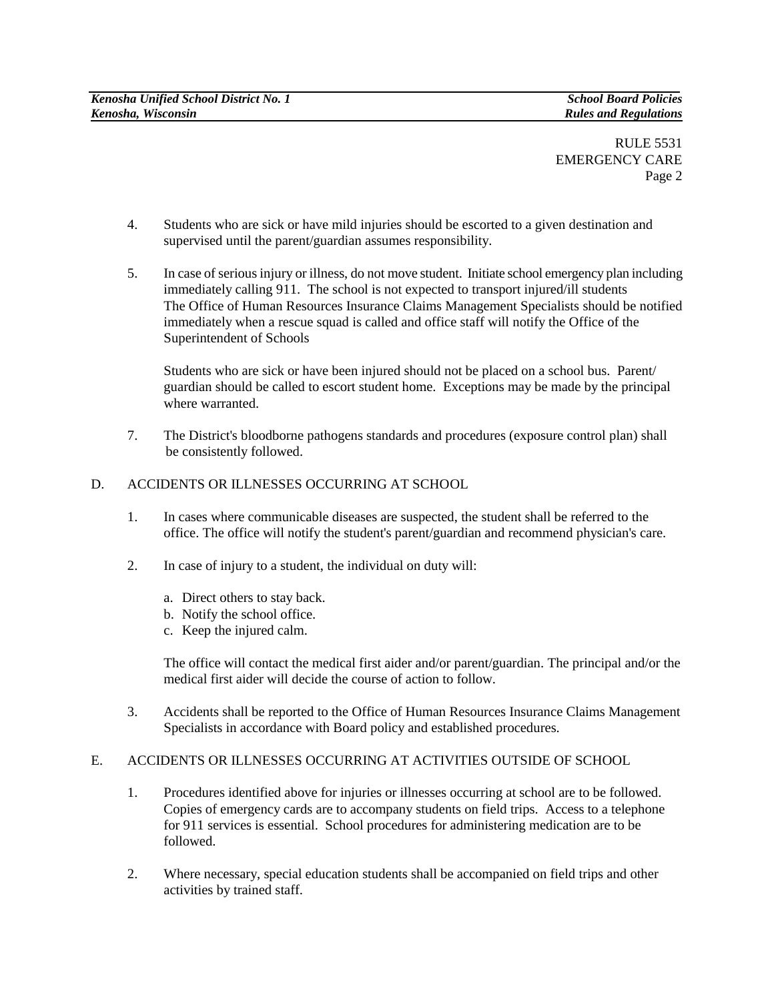RULE 5531 EMERGENCY CARE Page 2

- 4. Students who are sick or have mild injuries should be escorted to a given destination and supervised until the parent/guardian assumes responsibility.
- 5. In case of serious injury or illness, do not move student. Initiate school emergency plan including immediately calling 911. The school is not expected to transport injured/ill students The Office of Human Resources Insurance Claims Management Specialists should be notified immediately when a rescue squad is called and office staff will notify the Office of the Superintendent of Schools

Students who are sick or have been injured should not be placed on a school bus. Parent/ guardian should be called to escort student home. Exceptions may be made by the principal where warranted.

7. The District's bloodborne pathogens standards and procedures (exposure control plan) shall be consistently followed.

## D. ACCIDENTS OR ILLNESSES OCCURRING AT SCHOOL

- 1. In cases where communicable diseases are suspected, the student shall be referred to the office. The office will notify the student's parent/guardian and recommend physician's care.
- 2. In case of injury to a student, the individual on duty will:
	- a. Direct others to stay back.
	- b. Notify the school office.
	- c. Keep the injured calm.

The office will contact the medical first aider and/or parent/guardian. The principal and/or the medical first aider will decide the course of action to follow.

3. Accidents shall be reported to the Office of Human Resources Insurance Claims Management Specialists in accordance with Board policy and established procedures.

# E. ACCIDENTS OR ILLNESSES OCCURRING AT ACTIVITIES OUTSIDE OF SCHOOL

- 1. Procedures identified above for injuries or illnesses occurring at school are to be followed. Copies of emergency cards are to accompany students on field trips. Access to a telephone for 911 services is essential. School procedures for administering medication are to be followed.
- 2. Where necessary, special education students shall be accompanied on field trips and other activities by trained staff.